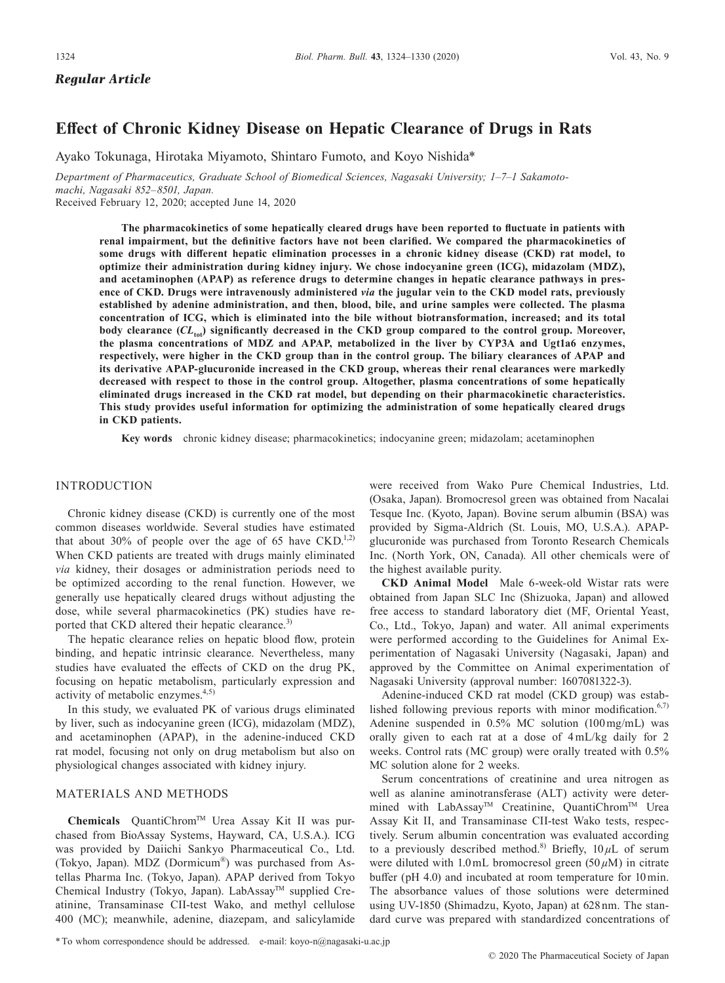*Regular Article*

# **Effect of Chronic Kidney Disease on Hepatic Clearance of Drugs in Rats**

Ayako Tokunaga, Hirotaka Miyamoto, Shintaro Fumoto, and Koyo Nishida\*

*Department of Pharmaceutics, Graduate School of Biomedical Sciences, Nagasaki University; 1–7–1 Sakamotomachi, Nagasaki 852–8501, Japan.*

Received February 12, 2020; accepted June 14, 2020

**The pharmacokinetics of some hepatically cleared drugs have been reported to fluctuate in patients with renal impairment, but the definitive factors have not been clarified. We compared the pharmacokinetics of some drugs with different hepatic elimination processes in a chronic kidney disease (CKD) rat model, to optimize their administration during kidney injury. We chose indocyanine green (ICG), midazolam (MDZ), and acetaminophen (APAP) as reference drugs to determine changes in hepatic clearance pathways in presence of CKD. Drugs were intravenously administered** *via* **the jugular vein to the CKD model rats, previously established by adenine administration, and then, blood, bile, and urine samples were collected. The plasma concentration of ICG, which is eliminated into the bile without biotransformation, increased; and its total**  body clearance ( $CL_{tot}$ ) significantly decreased in the CKD group compared to the control group. Moreover, **the plasma concentrations of MDZ and APAP, metabolized in the liver by CYP3A and Ugt1a6 enzymes, respectively, were higher in the CKD group than in the control group. The biliary clearances of APAP and its derivative APAP-glucuronide increased in the CKD group, whereas their renal clearances were markedly decreased with respect to those in the control group. Altogether, plasma concentrations of some hepatically eliminated drugs increased in the CKD rat model, but depending on their pharmacokinetic characteristics. This study provides useful information for optimizing the administration of some hepatically cleared drugs in CKD patients.**

**Key words** chronic kidney disease; pharmacokinetics; indocyanine green; midazolam; acetaminophen

## INTRODUCTION

Chronic kidney disease (CKD) is currently one of the most common diseases worldwide. Several studies have estimated that about 30% of people over the age of 65 have  $CKD^{1,2)}$ . When CKD patients are treated with drugs mainly eliminated *via* kidney, their dosages or administration periods need to be optimized according to the renal function. However, we generally use hepatically cleared drugs without adjusting the dose, while several pharmacokinetics (PK) studies have reported that CKD altered their hepatic clearance.<sup>3)</sup>

The hepatic clearance relies on hepatic blood flow, protein binding, and hepatic intrinsic clearance. Nevertheless, many studies have evaluated the effects of CKD on the drug PK, focusing on hepatic metabolism, particularly expression and activity of metabolic enzymes. $4,5)$ 

In this study, we evaluated PK of various drugs eliminated by liver, such as indocyanine green (ICG), midazolam (MDZ), and acetaminophen (APAP), in the adenine-induced CKD rat model, focusing not only on drug metabolism but also on physiological changes associated with kidney injury.

## MATERIALS AND METHODS

**Chemicals** QuantiChrom™ Urea Assay Kit II was purchased from BioAssay Systems, Hayward, CA, U.S.A.). ICG was provided by Daiichi Sankyo Pharmaceutical Co., Ltd. (Tokyo, Japan). MDZ (Dormicum®) was purchased from Astellas Pharma Inc. (Tokyo, Japan). APAP derived from Tokyo Chemical Industry (Tokyo, Japan). LabAssay™ supplied Creatinine, Transaminase CII-test Wako, and methyl cellulose 400 (MC); meanwhile, adenine, diazepam, and salicylamide were received from Wako Pure Chemical Industries, Ltd. (Osaka, Japan). Bromocresol green was obtained from Nacalai Tesque Inc. (Kyoto, Japan). Bovine serum albumin (BSA) was provided by Sigma-Aldrich (St. Louis, MO, U.S.A.). APAPglucuronide was purchased from Toronto Research Chemicals Inc. (North York, ON, Canada). All other chemicals were of the highest available purity.

**CKD Animal Model** Male 6-week-old Wistar rats were obtained from Japan SLC Inc (Shizuoka, Japan) and allowed free access to standard laboratory diet (MF, Oriental Yeast, Co., Ltd., Tokyo, Japan) and water. All animal experiments were performed according to the Guidelines for Animal Experimentation of Nagasaki University (Nagasaki, Japan) and approved by the Committee on Animal experimentation of Nagasaki University (approval number: 1607081322-3).

Adenine-induced CKD rat model (CKD group) was established following previous reports with minor modification. $6,7$ ) Adenine suspended in 0.5% MC solution (100 mg/mL) was orally given to each rat at a dose of  $4 \text{ mL/kg}$  daily for 2 weeks. Control rats (MC group) were orally treated with 0.5% MC solution alone for 2 weeks.

Serum concentrations of creatinine and urea nitrogen as well as alanine aminotransferase (ALT) activity were determined with LabAssay™ Creatinine, QuantiChrom™ Urea Assay Kit II, and Transaminase CII-test Wako tests, respectively. Serum albumin concentration was evaluated according to a previously described method.<sup>8)</sup> Briefly,  $10 \mu L$  of serum were diluted with 1.0 mL bromocresol green (50 *µ*M) in citrate buffer (pH 4.0) and incubated at room temperature for 10 min. The absorbance values of those solutions were determined using UV-1850 (Shimadzu, Kyoto, Japan) at 628 nm. The standard curve was prepared with standardized concentrations of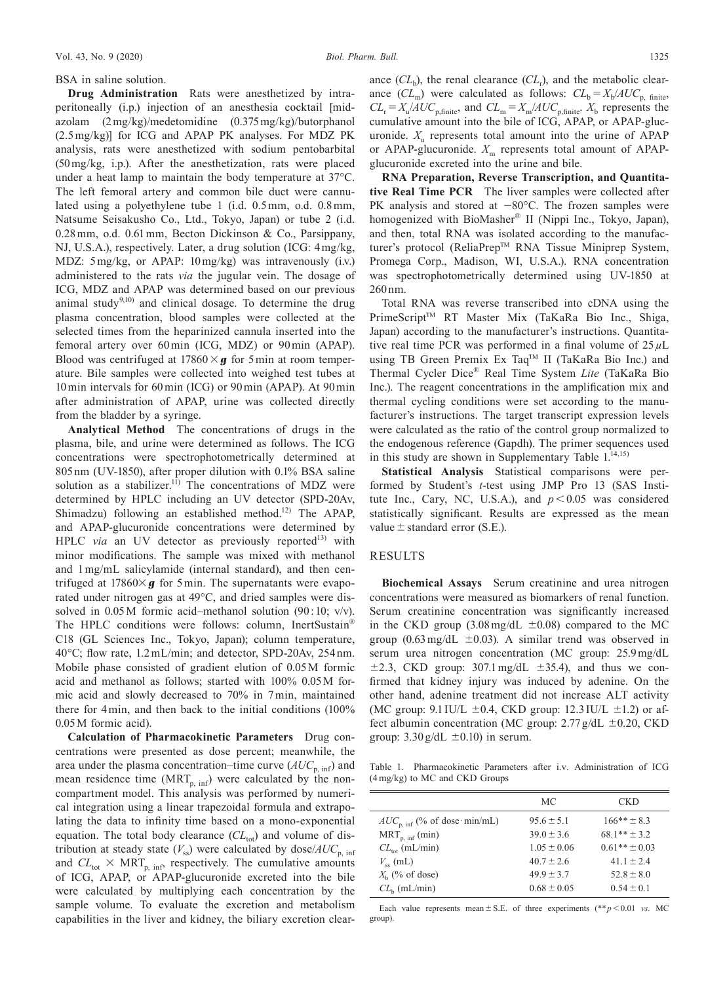#### BSA in saline solution.

**Drug Administration** Rats were anesthetized by intraperitoneally (i.p.) injection of an anesthesia cocktail [midazolam (2 mg/kg)/medetomidine (0.375 mg/kg)/butorphanol (2.5 mg/kg)] for ICG and APAP PK analyses. For MDZ PK analysis, rats were anesthetized with sodium pentobarbital (50 mg/kg, i.p.). After the anesthetization, rats were placed under a heat lamp to maintain the body temperature at 37°C. The left femoral artery and common bile duct were cannulated using a polyethylene tube 1 (i.d. 0.5 mm, o.d. 0.8 mm, Natsume Seisakusho Co., Ltd., Tokyo, Japan) or tube 2 (i.d. 0.28 mm, o.d. 0.61 mm, Becton Dickinson & Co., Parsippany, NJ, U.S.A.), respectively. Later, a drug solution (ICG: 4 mg/kg, MDZ: 5 mg/kg, or APAP: 10 mg/kg) was intravenously (i.v.) administered to the rats *via* the jugular vein. The dosage of ICG, MDZ and APAP was determined based on our previous animal study<sup>9,10</sup> and clinical dosage. To determine the drug plasma concentration, blood samples were collected at the selected times from the heparinized cannula inserted into the femoral artery over 60 min (ICG, MDZ) or 90 min (APAP). Blood was centrifuged at  $17860 \times g$  for 5 min at room temperature. Bile samples were collected into weighed test tubes at 10 min intervals for 60 min (ICG) or 90 min (APAP). At 90 min after administration of APAP, urine was collected directly from the bladder by a syringe.

**Analytical Method** The concentrations of drugs in the plasma, bile, and urine were determined as follows. The ICG concentrations were spectrophotometrically determined at 805 nm (UV-1850), after proper dilution with 0.1% BSA saline solution as a stabilizer.<sup>11)</sup> The concentrations of MDZ were determined by HPLC including an UV detector (SPD-20Av, Shimadzu) following an established method.<sup>12)</sup> The APAP, and APAP-glucuronide concentrations were determined by HPLC *via* an UV detector as previously reported<sup>13)</sup> with minor modifications. The sample was mixed with methanol and 1 mg/mL salicylamide (internal standard), and then centrifuged at  $17860 \times g$  for 5 min. The supernatants were evaporated under nitrogen gas at 49°C, and dried samples were dissolved in 0.05M formic acid–methanol solution (90:10; v/v). The HPLC conditions were follows: column, InertSustain® C18 (GL Sciences Inc., Tokyo, Japan); column temperature, 40°C; flow rate, 1.2 mL/min; and detector, SPD-20Av, 254 nm. Mobile phase consisted of gradient elution of 0.05 M formic acid and methanol as follows; started with 100% 0.05 M formic acid and slowly decreased to 70% in 7 min, maintained there for 4 min, and then back to the initial conditions (100% 0.05 M formic acid).

**Calculation of Pharmacokinetic Parameters** Drug concentrations were presented as dose percent; meanwhile, the area under the plasma concentration–time curve  $(AUC_{p, \text{inf}})$  and mean residence time  $(MRT_{p, \text{ inf}})$  were calculated by the noncompartment model. This analysis was performed by numerical integration using a linear trapezoidal formula and extrapolating the data to infinity time based on a mono-exponential equation. The total body clearance  $CL_{tot}$ ) and volume of distribution at steady state  $(V_{\rm ss})$  were calculated by dose/ $AUC_{\rm p, inf}$ and  $CL_{\text{tot}} \times \text{MRT}_{p, \text{inf}}$  respectively. The cumulative amounts of ICG, APAP, or APAP-glucuronide excreted into the bile were calculated by multiplying each concentration by the sample volume. To evaluate the excretion and metabolism capabilities in the liver and kidney, the biliary excretion clear-

ance  $(CL_b)$ , the renal clearance  $(CL_r)$ , and the metabolic clearance  $(CL_m)$  were calculated as follows:  $CL_b = X_b/ALC_{p, \text{ finite}}$ ,  $CL_r = X_u/AUC_{\text{p,finite}}$ , and  $CL_m = X_m/AUC_{\text{p,finite}}$ .  $X_b$  represents the cumulative amount into the bile of ICG, APAP, or APAP-glucuronide.  $X_{\text{u}}$  represents total amount into the urine of APAP or APAP-glucuronide.  $X_m$  represents total amount of APAPglucuronide excreted into the urine and bile.

**RNA Preparation, Reverse Transcription, and Quantitative Real Time PCR** The liver samples were collected after PK analysis and stored at −80°C. The frozen samples were homogenized with BioMasher® II (Nippi Inc., Tokyo, Japan), and then, total RNA was isolated according to the manufacturer's protocol (ReliaPrep™ RNA Tissue Miniprep System, Promega Corp., Madison, WI, U.S.A.). RNA concentration was spectrophotometrically determined using UV-1850 at 260 nm.

Total RNA was reverse transcribed into cDNA using the PrimeScript™ RT Master Mix (TaKaRa Bio Inc., Shiga, Japan) according to the manufacturer's instructions. Quantitative real time PCR was performed in a final volume of  $25 \mu L$ using TB Green Premix Ex Taq™ II (TaKaRa Bio Inc.) and Thermal Cycler Dice® Real Time System *Lite* (TaKaRa Bio Inc.). The reagent concentrations in the amplification mix and thermal cycling conditions were set according to the manufacturer's instructions. The target transcript expression levels were calculated as the ratio of the control group normalized to the endogenous reference (Gapdh). The primer sequences used in this study are shown in Supplementary Table  $1.^{14,15)}$ 

**Statistical Analysis** Statistical comparisons were performed by Student's *t*-test using JMP Pro 13 (SAS Institute Inc., Cary, NC, U.S.A.), and  $p < 0.05$  was considered statistically significant. Results are expressed as the mean value  $\pm$  standard error (S.E.).

#### RESULTS

**Biochemical Assays** Serum creatinine and urea nitrogen concentrations were measured as biomarkers of renal function. Serum creatinine concentration was significantly increased in the CKD group  $(3.08 \text{ mg/dL} \pm 0.08)$  compared to the MC group (0.63 mg/dL  $\pm$ 0.03). A similar trend was observed in serum urea nitrogen concentration (MC group: 25.9 mg/dL  $\pm$ 2.3, CKD group: 307.1 mg/dL  $\pm$ 35.4), and thus we confirmed that kidney injury was induced by adenine. On the other hand, adenine treatment did not increase ALT activity (MC group:  $9.1$  IU/L  $\pm 0.4$ , CKD group: 12.3 IU/L  $\pm 1.2$ ) or affect albumin concentration (MC group:  $2.77$  g/dL  $\pm 0.20$ , CKD group:  $3.30 \text{ g/dL} \pm 0.10$ ) in serum.

Table 1. Pharmacokinetic Parameters after i.v. Administration of ICG (4 mg/kg) to MC and CKD Groups

|                                   | МC              | <b>CKD</b>        |
|-----------------------------------|-----------------|-------------------|
| $AUC_{p, inf}$ (% of dose min/mL) | $95.6 \pm 5.1$  | $166*** \pm 8.3$  |
| $MRT_{p, inf}(min)$               | $39.0 \pm 3.6$  | $68.1***+3.2$     |
| $CL_{tot}$ (mL/min)               | $1.05 \pm 0.06$ | $0.61** \pm 0.03$ |
| $V_{\rm sc}$ (mL)                 | $40.7 \pm 2.6$  | $41.1 + 2.4$      |
| $Xb$ (% of dose)                  | $49.9 \pm 3.7$  | $52.8 \pm 8.0$    |
| $CL_{h}$ (mL/min)                 | $0.68 \pm 0.05$ | $0.54 \pm 0.1$    |

Each value represents mean  $\pm$  S.E. of three experiments (\*\* *p* < 0.01 *vs.* MC group).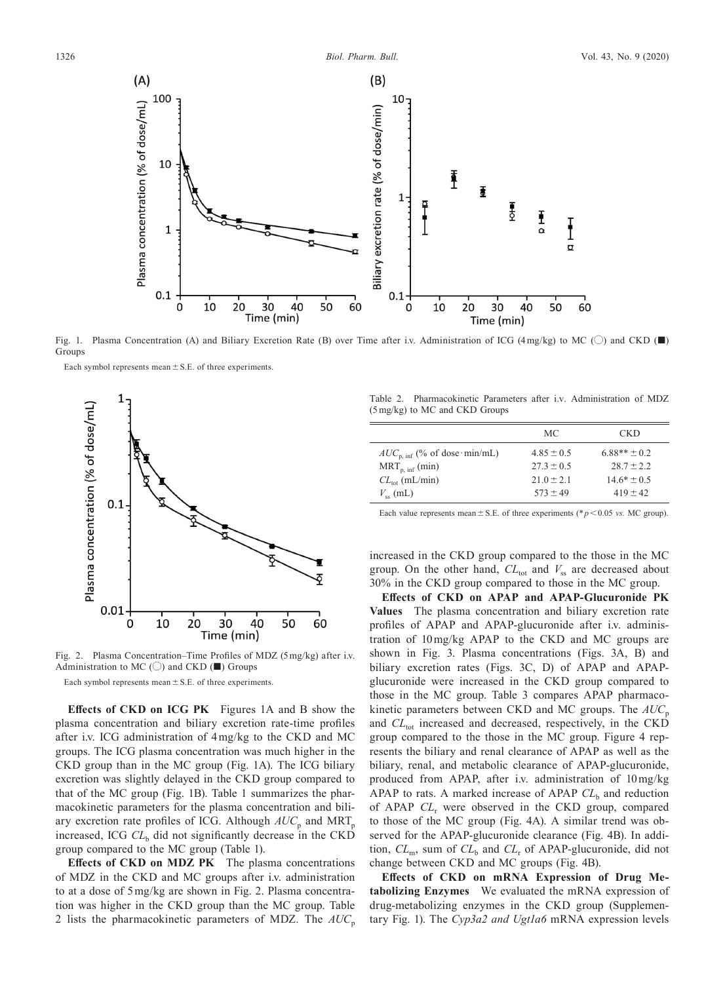

Fig. 1. Plasma Concentration (A) and Biliary Excretion Rate (B) over Time after i.v. Administration of ICG (4mg/kg) to MC (〇) and CKD (■) **Groups** 

Each symbol represents mean  $\pm$  S.E. of three experiments.



Fig. 2. Plasma Concentration–Time Profiles of MDZ (5 mg/kg) after i.v. Administration to MC ( $\bigcirc$ ) and CKD ( $\blacksquare$ ) Groups

Each symbol represents mean  $\pm$  S.E. of three experiments.

**Effects of CKD on ICG PK** Figures 1A and B show the plasma concentration and biliary excretion rate-time profiles after i.v. ICG administration of 4 mg/kg to the CKD and MC groups. The ICG plasma concentration was much higher in the CKD group than in the MC group (Fig. 1A). The ICG biliary excretion was slightly delayed in the CKD group compared to that of the MC group (Fig. 1B). Table 1 summarizes the pharmacokinetic parameters for the plasma concentration and biliary excretion rate profiles of ICG. Although  $AUC_p$  and  $MRT_p$ increased, ICG *CL*b did not significantly decrease in the CKD group compared to the MC group (Table 1).

**Effects of CKD on MDZ PK** The plasma concentrations of MDZ in the CKD and MC groups after i.v. administration to at a dose of 5 mg/kg are shown in Fig. 2. Plasma concentration was higher in the CKD group than the MC group. Table 2 lists the pharmacokinetic parameters of MDZ. The *AUC*<sup>p</sup>

Table 2. Pharmacokinetic Parameters after i.v. Administration of MDZ (5 mg/kg) to MC and CKD Groups

|                                   | МC             | <b>CKD</b>       |
|-----------------------------------|----------------|------------------|
| $AUC_{p, inf}$ (% of dose min/mL) | $4.85 \pm 0.5$ | $6.88** \pm 0.2$ |
| $MRT_{p, inf}(min)$               | $27.3 \pm 0.5$ | $28.7 \pm 2.2$   |
| $CL_{tot}$ (mL/min)               | $21.0 \pm 2.1$ | $14.6* \pm 0.5$  |
| $V_{\rm ss}$ (mL)                 | $573 \pm 49$   | $419 \pm 42$     |

Each value represents mean  $\pm$  S.E. of three experiments ( $\approx p$  < 0.05 *vs.* MC group).

increased in the CKD group compared to the those in the MC group. On the other hand,  $CL_{\text{tot}}$  and  $V_{\text{ss}}$  are decreased about 30% in the CKD group compared to those in the MC group.

**Effects of CKD on APAP and APAP-Glucuronide PK Values** The plasma concentration and biliary excretion rate profiles of APAP and APAP-glucuronide after i.v. administration of 10 mg/kg APAP to the CKD and MC groups are shown in Fig. 3. Plasma concentrations (Figs. 3A, B) and biliary excretion rates (Figs. 3C, D) of APAP and APAPglucuronide were increased in the CKD group compared to those in the MC group. Table 3 compares APAP pharmacokinetic parameters between CKD and MC groups. The  $AUC_p$ and *CL*<sub>tot</sub> increased and decreased, respectively, in the CKD group compared to the those in the MC group. Figure 4 represents the biliary and renal clearance of APAP as well as the biliary, renal, and metabolic clearance of APAP-glucuronide, produced from APAP, after i.v. administration of 10 mg/kg APAP to rats. A marked increase of APAP  $CL<sub>b</sub>$  and reduction of APAP *CL*<sup>r</sup> were observed in the CKD group, compared to those of the MC group (Fig. 4A). A similar trend was observed for the APAP-glucuronide clearance (Fig. 4B). In addition,  $CL_m$ , sum of  $CL_b$  and  $CL_r$  of APAP-glucuronide, did not change between CKD and MC groups (Fig. 4B).

**Effects of CKD on mRNA Expression of Drug Metabolizing Enzymes** We evaluated the mRNA expression of drug-metabolizing enzymes in the CKD group (Supplementary Fig. 1). The *Cyp3a2 and Ugt1a6* mRNA expression levels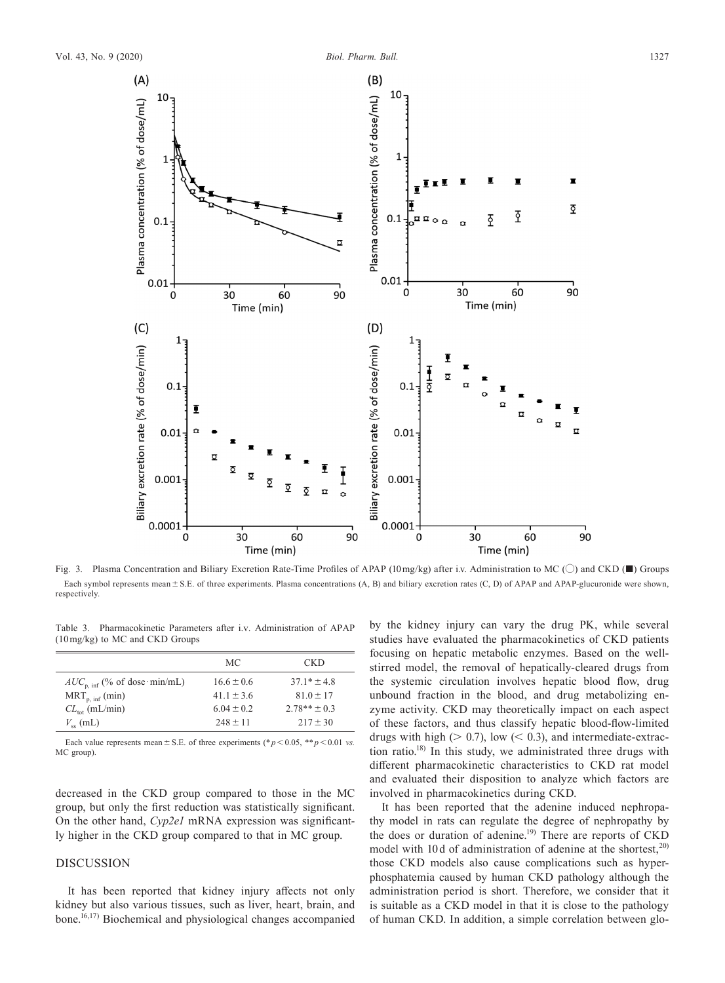

Fig. 3. Plasma Concentration and Biliary Excretion Rate-Time Profiles of APAP (10 mg/kg) after i.v. Administration to MC (〇) and CKD (■) Groups Each symbol represents mean ± S.E. of three experiments. Plasma concentrations (A, B) and biliary excretion rates (C, D) of APAP and APAP-glucuronide were shown, respectively.

Table 3. Pharmacokinetic Parameters after i.v. Administration of APAP (10 mg/kg) to MC and CKD Groups

|                                   | MC.            | <b>CKD</b>      |
|-----------------------------------|----------------|-----------------|
| $AUC_{p, inf}$ (% of dose min/mL) | $16.6 \pm 0.6$ | $37.1* \pm 4.8$ |
| $MRT_{p, inf}(min)$               | $41.1 \pm 3.6$ | $81.0 \pm 17$   |
| $CL_{tot}$ (mL/min)               | $6.04 \pm 0.2$ | $2.78** + 0.3$  |
| $V_{\rm ss}$ (mL)                 | $248 \pm 11$   | $217 \pm 30$    |

Each value represents mean  $\pm$  S.E. of three experiments (\* $p$  < 0.05, \*\* $p$  < 0.01 *vs.* MC group).

decreased in the CKD group compared to those in the MC group, but only the first reduction was statistically significant. On the other hand, *Cyp2e1* mRNA expression was significantly higher in the CKD group compared to that in MC group.

## DISCUSSION

It has been reported that kidney injury affects not only kidney but also various tissues, such as liver, heart, brain, and bone.16,17) Biochemical and physiological changes accompanied by the kidney injury can vary the drug PK, while several studies have evaluated the pharmacokinetics of CKD patients focusing on hepatic metabolic enzymes. Based on the wellstirred model, the removal of hepatically-cleared drugs from the systemic circulation involves hepatic blood flow, drug unbound fraction in the blood, and drug metabolizing enzyme activity. CKD may theoretically impact on each aspect of these factors, and thus classify hepatic blood-flow-limited drugs with high ( $> 0.7$ ), low ( $< 0.3$ ), and intermediate-extraction ratio.<sup>18)</sup> In this study, we administrated three drugs with different pharmacokinetic characteristics to CKD rat model and evaluated their disposition to analyze which factors are involved in pharmacokinetics during CKD.

It has been reported that the adenine induced nephropathy model in rats can regulate the degree of nephropathy by the does or duration of adenine.<sup>19)</sup> There are reports of CKD model with 10 d of administration of adenine at the shortest,  $20$ those CKD models also cause complications such as hyperphosphatemia caused by human CKD pathology although the administration period is short. Therefore, we consider that it is suitable as a CKD model in that it is close to the pathology of human CKD. In addition, a simple correlation between glo-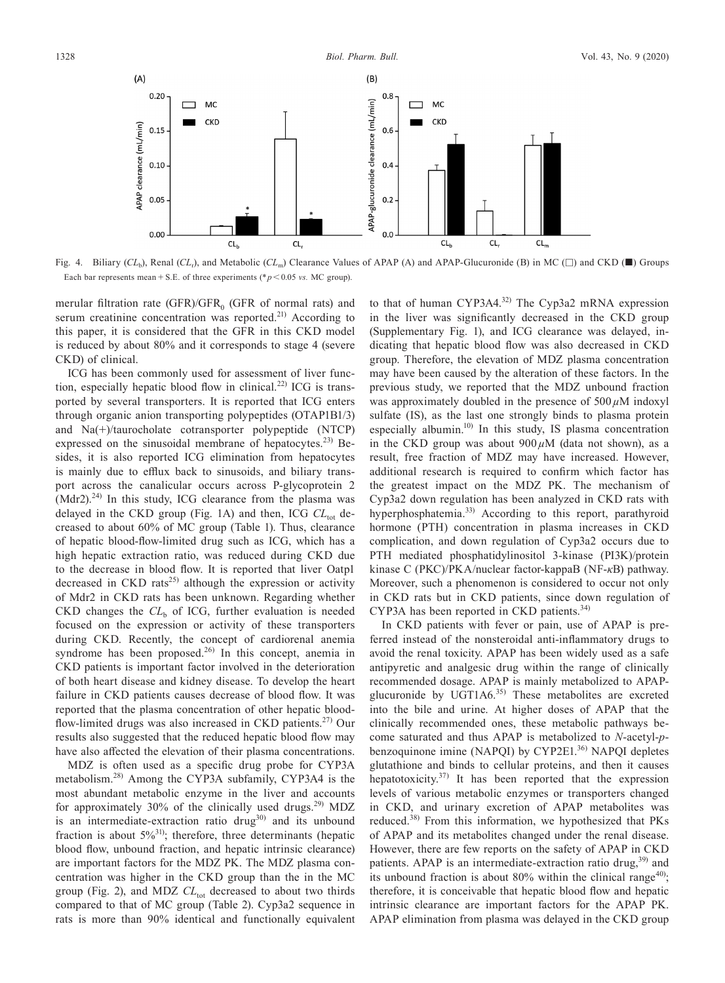

Fig. 4. Biliary  $(CL_b)$ , Renal  $(CL_r)$ , and Metabolic  $(CL_m)$  Clearance Values of APAP (A) and APAP-Glucuronide (B) in MC ( $\square$ ) and CKD ( $\square$ ) Groups Each bar represents mean + S.E. of three experiments ( $p < 0.05$  *vs.* MC group).

merular filtration rate (GFR)/GFR $_0$  (GFR of normal rats) and serum creatinine concentration was reported.<sup>21)</sup> According to this paper, it is considered that the GFR in this CKD model is reduced by about 80% and it corresponds to stage 4 (severe CKD) of clinical.

ICG has been commonly used for assessment of liver function, especially hepatic blood flow in clinical.<sup>22)</sup> ICG is transported by several transporters. It is reported that ICG enters through organic anion transporting polypeptides (OTAP1B1/3) and Na(+)/taurocholate cotransporter polypeptide (NTCP) expressed on the sinusoidal membrane of hepatocytes.<sup>23)</sup> Besides, it is also reported ICG elimination from hepatocytes is mainly due to efflux back to sinusoids, and biliary transport across the canalicular occurs across P-glycoprotein 2  $(Mdr2).<sup>24)</sup>$  In this study, ICG clearance from the plasma was delayed in the CKD group (Fig. 1A) and then, ICG CL<sub>tot</sub> decreased to about 60% of MC group (Table 1). Thus, clearance of hepatic blood-flow-limited drug such as ICG, which has a high hepatic extraction ratio, was reduced during CKD due to the decrease in blood flow. It is reported that liver Oatp1 decreased in CKD rats<sup>25)</sup> although the expression or activity of Mdr2 in CKD rats has been unknown. Regarding whether CKD changes the  $CL_b$  of ICG, further evaluation is needed focused on the expression or activity of these transporters during CKD. Recently, the concept of cardiorenal anemia syndrome has been proposed.<sup>26)</sup> In this concept, anemia in CKD patients is important factor involved in the deterioration of both heart disease and kidney disease. To develop the heart failure in CKD patients causes decrease of blood flow. It was reported that the plasma concentration of other hepatic bloodflow-limited drugs was also increased in CKD patients.27) Our results also suggested that the reduced hepatic blood flow may have also affected the elevation of their plasma concentrations.

MDZ is often used as a specific drug probe for CYP3A metabolism.28) Among the CYP3A subfamily, CYP3A4 is the most abundant metabolic enzyme in the liver and accounts for approximately 30% of the clinically used drugs.<sup>29)</sup> MDZ is an intermediate-extraction ratio  $drug^{30}$  and its unbound fraction is about  $5\%^{31}$ ; therefore, three determinants (hepatic blood flow, unbound fraction, and hepatic intrinsic clearance) are important factors for the MDZ PK. The MDZ plasma concentration was higher in the CKD group than the in the MC group (Fig. 2), and MDZ  $CL_{tot}$  decreased to about two thirds compared to that of MC group (Table 2). Cyp3a2 sequence in rats is more than 90% identical and functionally equivalent

to that of human CYP3A4.<sup>32)</sup> The Cyp3a2 mRNA expression in the liver was significantly decreased in the CKD group (Supplementary Fig. 1), and ICG clearance was delayed, indicating that hepatic blood flow was also decreased in CKD group. Therefore, the elevation of MDZ plasma concentration may have been caused by the alteration of these factors. In the previous study, we reported that the MDZ unbound fraction was approximately doubled in the presence of  $500 \mu$ M indoxyl sulfate (IS), as the last one strongly binds to plasma protein especially albumin. $10$  In this study, IS plasma concentration in the CKD group was about 900 *µ*M (data not shown), as a result, free fraction of MDZ may have increased. However, additional research is required to confirm which factor has the greatest impact on the MDZ PK. The mechanism of Cyp3a2 down regulation has been analyzed in CKD rats with hyperphosphatemia.<sup>33)</sup> According to this report, parathyroid hormone (PTH) concentration in plasma increases in CKD complication, and down regulation of Cyp3a2 occurs due to PTH mediated phosphatidylinositol 3-kinase (PI3K)/protein kinase C (PKC)/PKA/nuclear factor-kappaB (NF-*κ*B) pathway. Moreover, such a phenomenon is considered to occur not only in CKD rats but in CKD patients, since down regulation of CYP3A has been reported in CKD patients.<sup>34)</sup>

In CKD patients with fever or pain, use of APAP is preferred instead of the nonsteroidal anti-inflammatory drugs to avoid the renal toxicity. APAP has been widely used as a safe antipyretic and analgesic drug within the range of clinically recommended dosage. APAP is mainly metabolized to APAPglucuronide by UGT1A $6^{35}$ ) These metabolites are excreted into the bile and urine. At higher doses of APAP that the clinically recommended ones, these metabolic pathways become saturated and thus APAP is metabolized to *N*-acetyl-*p*benzoquinone imine (NAPQI) by CYP2E1.<sup>36)</sup> NAPQI depletes glutathione and binds to cellular proteins, and then it causes hepatotoxicity.<sup>37)</sup> It has been reported that the expression levels of various metabolic enzymes or transporters changed in CKD, and urinary excretion of APAP metabolites was reduced.38) From this information, we hypothesized that PKs of APAP and its metabolites changed under the renal disease. However, there are few reports on the safety of APAP in CKD patients. APAP is an intermediate-extraction ratio drug, $39$  and its unbound fraction is about 80% within the clinical range<sup>40</sup>; therefore, it is conceivable that hepatic blood flow and hepatic intrinsic clearance are important factors for the APAP PK. APAP elimination from plasma was delayed in the CKD group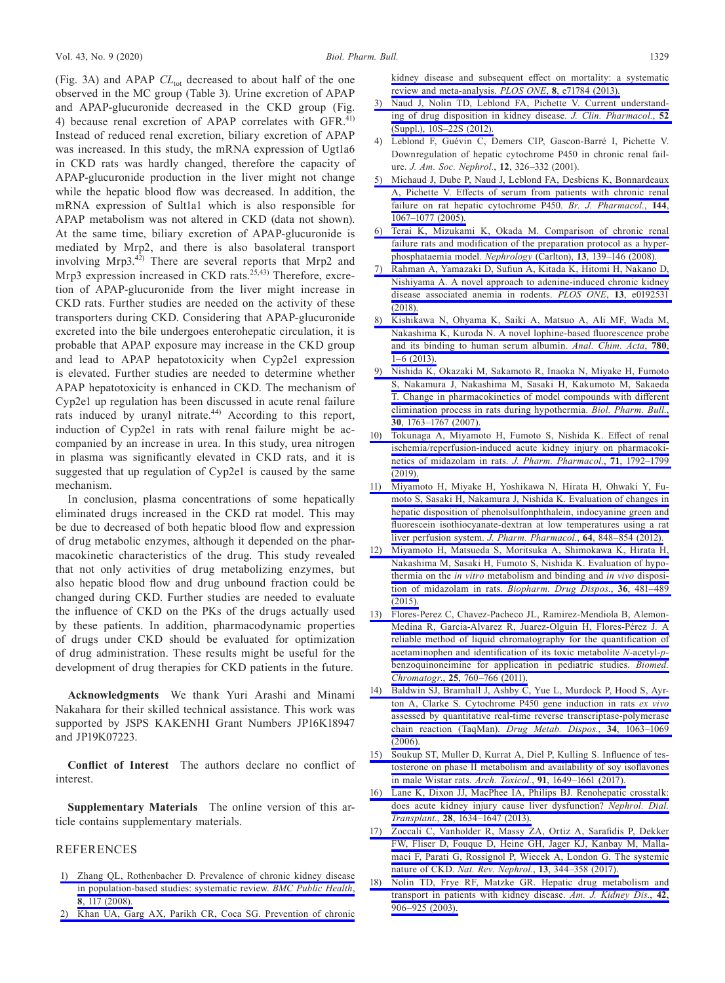(Fig. 3A) and APAP *CL*<sub>tot</sub> decreased to about half of the one observed in the MC group (Table 3). Urine excretion of APAP and APAP-glucuronide decreased in the CKD group (Fig. 4) because renal excretion of APAP correlates with GFR.<sup>41)</sup> Instead of reduced renal excretion, biliary excretion of APAP was increased. In this study, the mRNA expression of Ugtla6 in CKD rats was hardly changed, therefore the capacity of APAP-glucuronide production in the liver might not change while the hepatic blood flow was decreased. In addition, the mRNA expression of Sult1a1 which is also responsible for APAP metabolism was not altered in CKD (data not shown). At the same time, biliary excretion of APAP-glucuronide is mediated by Mrp2, and there is also basolateral transport involving Mrp3. $^{42)}$  There are several reports that Mrp2 and Mrp3 expression increased in CKD rats.<sup>25,43)</sup> Therefore, excretion of APAP-glucuronide from the liver might increase in CKD rats. Further studies are needed on the activity of these transporters during CKD. Considering that APAP-glucuronide excreted into the bile undergoes enterohepatic circulation, it is probable that APAP exposure may increase in the CKD group and lead to APAP hepatotoxicity when Cyp2e1 expression is elevated. Further studies are needed to determine whether APAP hepatotoxicity is enhanced in CKD. The mechanism of Cyp2e1 up regulation has been discussed in acute renal failure rats induced by uranyl nitrate. $44$  According to this report, induction of Cyp2e1 in rats with renal failure might be accompanied by an increase in urea. In this study, urea nitrogen in plasma was significantly elevated in CKD rats, and it is suggested that up regulation of Cyp2e1 is caused by the same mechanism.

In conclusion, plasma concentrations of some hepatically eliminated drugs increased in the CKD rat model. This may be due to decreased of both hepatic blood flow and expression of drug metabolic enzymes, although it depended on the pharmacokinetic characteristics of the drug. This study revealed that not only activities of drug metabolizing enzymes, but also hepatic blood flow and drug unbound fraction could be changed during CKD. Further studies are needed to evaluate the influence of CKD on the PKs of the drugs actually used by these patients. In addition, pharmacodynamic properties of drugs under CKD should be evaluated for optimization of drug administration. These results might be useful for the development of drug therapies for CKD patients in the future.

**Acknowledgments** We thank Yuri Arashi and Minami Nakahara for their skilled technical assistance. This work was supported by JSPS KAKENHI Grant Numbers JP16K18947 and JP19K07223.

**Conflict of Interest** The authors declare no conflict of interest.

**Supplementary Materials** The online version of this article contains supplementary materials.

### REFERENCES

- [1\) Zhang QL, Rothenbacher D. Prevalence of chronic kidney disease](http://dx.doi.org/10.1186/1471-2458-8-117)  [in population-based studies: systematic review.](http://dx.doi.org/10.1186/1471-2458-8-117) *BMC Public Health*, **8**[, 117 \(2008\).](http://dx.doi.org/10.1186/1471-2458-8-117)
- [2\) Khan UA, Garg AX, Parikh CR, Coca SG. Prevention of chronic](http://dx.doi.org/10.1371/journal.pone.0071784)

[kidney disease and subsequent effect on mortality: a systematic](http://dx.doi.org/10.1371/journal.pone.0071784)  [review and meta-analysis.](http://dx.doi.org/10.1371/journal.pone.0071784) *PLOS ONE*, **8**, e71784 (2013).

- [3\) Naud J, Nolin TD, Leblond FA, Pichette V. Current understand](http://dx.doi.org/10.1177/0091270011413588)[ing of drug disposition in kidney disease.](http://dx.doi.org/10.1177/0091270011413588) *J. Clin. Pharmacol.*, **52** [\(Suppl.\), 10S–22S \(2012\).](http://dx.doi.org/10.1177/0091270011413588)
- 4) Leblond F, Guévin C, Demers CIP, Gascon-Barré I, Pichette V. Downregulation of hepatic cytochrome P450 in chronic renal failure. *J. Am. Soc. Nephrol.*, **12**, 326–332 (2001).
- [5\) Michaud J, Dube P, Naud J, Leblond FA, Desbiens K, Bonnardeaux](http://dx.doi.org/10.1038/sj.bjp.0706138)  [A, Pichette V. Effects of serum from patients with chronic renal](http://dx.doi.org/10.1038/sj.bjp.0706138)  [failure on rat hepatic cytochrome P450.](http://dx.doi.org/10.1038/sj.bjp.0706138) *Br. J. Pharmacol.*, **144**, [1067–1077 \(2005\).](http://dx.doi.org/10.1038/sj.bjp.0706138)
- [6\) Terai K, Mizukami K, Okada M. Comparison of chronic renal](http://dx.doi.org/10.1111/j.1440-1797.2007.00844.x)  [failure rats and modification of the preparation protocol as a hyper](http://dx.doi.org/10.1111/j.1440-1797.2007.00844.x)[phosphataemia model.](http://dx.doi.org/10.1111/j.1440-1797.2007.00844.x) *Nephrology* (Carlton), **13**, 139–146 (2008).
- [7\) Rahman A, Yamazaki D, Sufiun A, Kitada K, Hitomi H, Nakano D,](http://dx.doi.org/10.1371/journal.pone.0192531)  [Nishiyama A. A novel approach to adenine-induced chronic kidney](http://dx.doi.org/10.1371/journal.pone.0192531)  [disease associated anemia in rodents.](http://dx.doi.org/10.1371/journal.pone.0192531) *PLOS ONE*, **13**, e0192531 [\(2018\).](http://dx.doi.org/10.1371/journal.pone.0192531)
- [8\) Kishikawa N, Ohyama K, Saiki A, Matsuo A, Ali MF, Wada M,](http://dx.doi.org/10.1016/j.aca.2013.04.003)  [Nakashima K, Kuroda N. A novel lophine-based fluorescence probe](http://dx.doi.org/10.1016/j.aca.2013.04.003)  [and its binding to human serum albumin.](http://dx.doi.org/10.1016/j.aca.2013.04.003) *Anal. Chim. Acta*, **780**,  $1-6(2013)$
- [9\) Nishida K, Okazaki M, Sakamoto R, Inaoka N, Miyake H, Fumoto](http://dx.doi.org/10.1248/bpb.30.1763)  [S, Nakamura J, Nakashima M, Sasaki H, Kakumoto M, Sakaeda](http://dx.doi.org/10.1248/bpb.30.1763)  [T. Change in pharmacokinetics of model compounds with different](http://dx.doi.org/10.1248/bpb.30.1763)  [elimination process in rats during hypothermia.](http://dx.doi.org/10.1248/bpb.30.1763) *Biol. Pharm. Bull.*, **30**[, 1763–1767 \(2007\).](http://dx.doi.org/10.1248/bpb.30.1763)
- [10\) Tokunaga A, Miyamoto H, Fumoto S, Nishida K. Effect of renal](http://dx.doi.org/10.1111/jphp.13167)  [ischemia/reperfusion-induced acute kidney injury on pharmacoki](http://dx.doi.org/10.1111/jphp.13167)[netics of midazolam in rats.](http://dx.doi.org/10.1111/jphp.13167) *J. Pharm. Pharmacol.*, **71**, 1792–1799 [\(2019\).](http://dx.doi.org/10.1111/jphp.13167)
- [11\) Miyamoto H, Miyake H, Yoshikawa N, Hirata H, Ohwaki Y, Fu](http://dx.doi.org/10.1111/j.2042-7158.2012.01478.x)[moto S, Sasaki H, Nakamura J, Nishida K. Evaluation of changes in](http://dx.doi.org/10.1111/j.2042-7158.2012.01478.x)  [hepatic disposition of phenolsulfonphthalein, indocyanine green and](http://dx.doi.org/10.1111/j.2042-7158.2012.01478.x)  [fluorescein isothiocyanate-dextran at low temperatures using a rat](http://dx.doi.org/10.1111/j.2042-7158.2012.01478.x)  [liver perfusion system.](http://dx.doi.org/10.1111/j.2042-7158.2012.01478.x) *J. Pharm. Pharmacol.*, **64**, 848–854 (2012).
- [12\) Miyamoto H, Matsueda S, Moritsuka A, Shimokawa K, Hirata H,](http://dx.doi.org/10.1002/bdd.1960)  [Nakashima M, Sasaki H, Fumoto S, Nishida K. Evaluation of hypo](http://dx.doi.org/10.1002/bdd.1960)thermia on the *in vitro* [metabolism and binding and](http://dx.doi.org/10.1002/bdd.1960) *in vivo* disposi[tion of midazolam in rats.](http://dx.doi.org/10.1002/bdd.1960) *Biopharm. Drug Dispos.*, **36**, 481–489 [\(2015\).](http://dx.doi.org/10.1002/bdd.1960)
- [13\) Flores-Perez C, Chavez-Pacheco JL, Ramirez-Mendiola B, Alemon-](http://dx.doi.org/10.1002/bmc.1511)[Medina R, Garcia-Alvarez R, Juarez-Olguin H, Flores-Pérez J. A](http://dx.doi.org/10.1002/bmc.1511)  [reliable method of liquid chromatography for the quantification of](http://dx.doi.org/10.1002/bmc.1511)  [acetaminophen and identification of its toxic metabolite](http://dx.doi.org/10.1002/bmc.1511) *N*-acetyl-*p*[benzoquinoneimine for application in pediatric studies.](http://dx.doi.org/10.1002/bmc.1511) *Biomed. Chromatogr.*, **25**[, 760–766 \(2011\).](http://dx.doi.org/10.1002/bmc.1511)
- [14\) Baldwin SJ, Bramhall J, Ashby C, Yue L, Murdock P, Hood S, Ayr](http://dx.doi.org/10.1124/dmd.105.008185)[ton A, Clarke S. Cytochrome P450 gene induction in rats](http://dx.doi.org/10.1124/dmd.105.008185) *ex vivo* [assessed by quantitative real-time reverse transcriptase-polymerase](http://dx.doi.org/10.1124/dmd.105.008185)  [chain reaction \(TaqMan\).](http://dx.doi.org/10.1124/dmd.105.008185) *Drug Metab. Dispos.*, **34**, 1063–1069 [\(2006\).](http://dx.doi.org/10.1124/dmd.105.008185)
- [15\) Soukup ST, Muller D, Kurrat A, Diel P, Kulling S. Influence of tes](http://dx.doi.org/10.1007/s00204-016-1853-1)[tosterone on phase II metabolism and availability of soy isoflavones](http://dx.doi.org/10.1007/s00204-016-1853-1)  [in male Wistar rats.](http://dx.doi.org/10.1007/s00204-016-1853-1) *Arch. Toxicol.*, **91**, 1649–1661 (2017).
- [16\) Lane K, Dixon JJ, MacPhee IA, Philips BJ. Renohepatic crosstalk:](http://dx.doi.org/10.1093/ndt/gft091)  [does acute kidney injury cause liver dysfunction?](http://dx.doi.org/10.1093/ndt/gft091) *Nephrol. Dial. Transplant.*, **28**[, 1634–1647 \(2013\).](http://dx.doi.org/10.1093/ndt/gft091)
- [17\) Zoccali C, Vanholder R, Massy ZA, Ortiz A, Sarafidis P, Dekker](http://dx.doi.org/10.1038/nrneph.2017.52)  [FW, Fliser D, Fouque D, Heine GH, Jager KJ, Kanbay M, Malla](http://dx.doi.org/10.1038/nrneph.2017.52)[maci F, Parati G, Rossignol P, Wiecek A, London G. The systemic](http://dx.doi.org/10.1038/nrneph.2017.52)  nature of CKD. *[Nat. Rev. Nephrol.](http://dx.doi.org/10.1038/nrneph.2017.52)*, **13**, 344–358 (2017).
- [18\) Nolin TD, Frye RF, Matzke GR. Hepatic drug metabolism and](http://dx.doi.org/10.1016/j.ajkd.2003.07.019)  [transport in patients with kidney disease.](http://dx.doi.org/10.1016/j.ajkd.2003.07.019) *Am. J. Kidney Dis.*, **42**, [906–925 \(2003\).](http://dx.doi.org/10.1016/j.ajkd.2003.07.019)